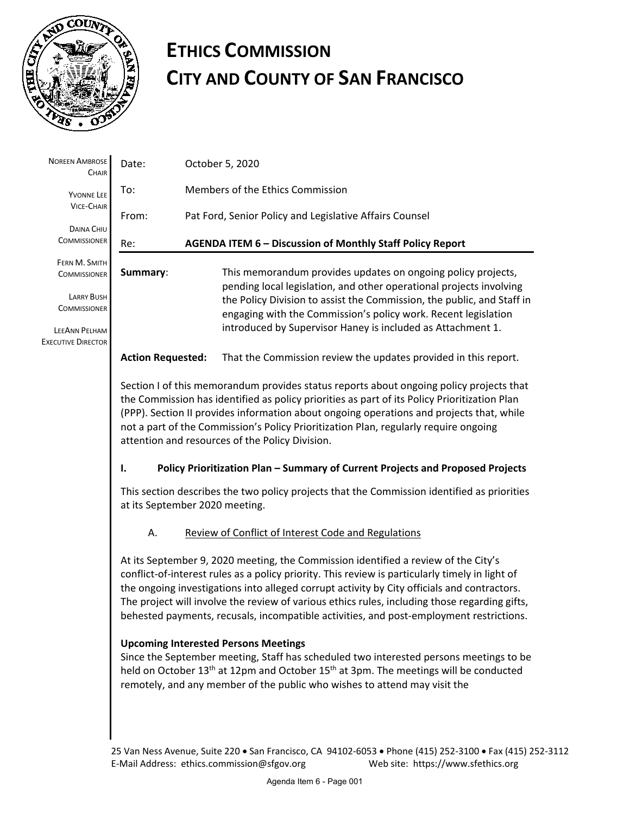

# **ETHICS COMMISSION CITY AND COUNTY OF SAN FRANCISCO**

| <b>NOREEN AMBROSE</b><br>CHAIR             | Date:                    | October 5, 2020                                                                                                                                                                                                                                                                                                                                                                                                                                                                                                                 |
|--------------------------------------------|--------------------------|---------------------------------------------------------------------------------------------------------------------------------------------------------------------------------------------------------------------------------------------------------------------------------------------------------------------------------------------------------------------------------------------------------------------------------------------------------------------------------------------------------------------------------|
| YVONNE LEE                                 | To:                      | Members of the Ethics Commission                                                                                                                                                                                                                                                                                                                                                                                                                                                                                                |
| <b>VICE-CHAIR</b>                          | From:                    | Pat Ford, Senior Policy and Legislative Affairs Counsel                                                                                                                                                                                                                                                                                                                                                                                                                                                                         |
| DAINA CHIU<br><b>COMMISSIONER</b>          | Re:                      | AGENDA ITEM 6 - Discussion of Monthly Staff Policy Report                                                                                                                                                                                                                                                                                                                                                                                                                                                                       |
| FERN M. SMITH<br><b>COMMISSIONER</b>       | Summary:                 | This memorandum provides updates on ongoing policy projects,<br>pending local legislation, and other operational projects involving                                                                                                                                                                                                                                                                                                                                                                                             |
| <b>LARRY BUSH</b><br><b>COMMISSIONER</b>   |                          | the Policy Division to assist the Commission, the public, and Staff in<br>engaging with the Commission's policy work. Recent legislation                                                                                                                                                                                                                                                                                                                                                                                        |
| LEEANN PELHAM<br><b>EXECUTIVE DIRECTOR</b> |                          | introduced by Supervisor Haney is included as Attachment 1.                                                                                                                                                                                                                                                                                                                                                                                                                                                                     |
|                                            | <b>Action Requested:</b> | That the Commission review the updates provided in this report.                                                                                                                                                                                                                                                                                                                                                                                                                                                                 |
|                                            |                          | Section I of this memorandum provides status reports about ongoing policy projects that<br>the Commission has identified as policy priorities as part of its Policy Prioritization Plan<br>(PPP). Section II provides information about ongoing operations and projects that, while<br>not a part of the Commission's Policy Prioritization Plan, regularly require ongoing<br>attention and resources of the Policy Division.                                                                                                  |
|                                            | Ι.                       | Policy Prioritization Plan - Summary of Current Projects and Proposed Projects                                                                                                                                                                                                                                                                                                                                                                                                                                                  |
|                                            |                          | This section describes the two policy projects that the Commission identified as priorities<br>at its September 2020 meeting.                                                                                                                                                                                                                                                                                                                                                                                                   |
|                                            | А.                       | Review of Conflict of Interest Code and Regulations                                                                                                                                                                                                                                                                                                                                                                                                                                                                             |
|                                            |                          | At its September 9, 2020 meeting, the Commission identified a review of the City's<br>conflict-of-interest rules as a policy priority. This review is particularly timely in light of<br>the ongoing investigations into alleged corrupt activity by City officials and contractors.<br>The project will involve the review of various ethics rules, including those regarding gifts,<br>behested payments, recusals, incompatible activities, and post-employment restrictions.<br><b>Upcoming Interested Persons Meetings</b> |
|                                            |                          | Since the September meeting, Staff has scheduled two interested persons meetings to be<br>held on October 13 <sup>th</sup> at 12pm and October 15 <sup>th</sup> at 3pm. The meetings will be conducted<br>remotely, and any member of the public who wishes to attend may visit the                                                                                                                                                                                                                                             |
|                                            |                          |                                                                                                                                                                                                                                                                                                                                                                                                                                                                                                                                 |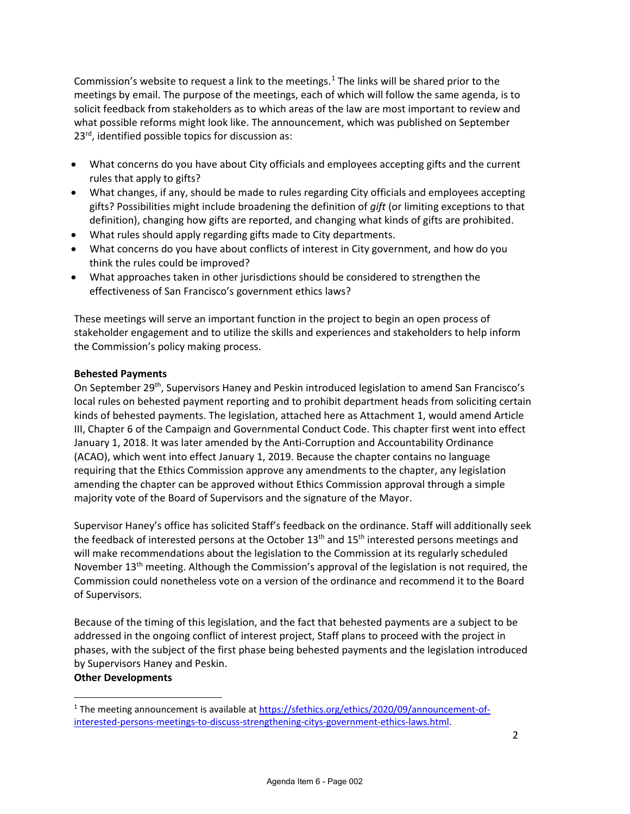Commission's website to request a link to the meetings.<sup>[1](#page-1-0)</sup> The links will be shared prior to the meetings by email. The purpose of the meetings, each of which will follow the same agenda, is to solicit feedback from stakeholders as to which areas of the law are most important to review and what possible reforms might look like. The announcement, which was published on September 23<sup>rd</sup>, identified possible topics for discussion as:

- What concerns do you have about City officials and employees accepting gifts and the current rules that apply to gifts?
- What changes, if any, should be made to rules regarding City officials and employees accepting gifts? Possibilities might include broadening the definition of *gift* (or limiting exceptions to that definition), changing how gifts are reported, and changing what kinds of gifts are prohibited.
- What rules should apply regarding gifts made to City departments.
- What concerns do you have about conflicts of interest in City government, and how do you think the rules could be improved?
- What approaches taken in other jurisdictions should be considered to strengthen the effectiveness of San Francisco's government ethics laws?

These meetings will serve an important function in the project to begin an open process of stakeholder engagement and to utilize the skills and experiences and stakeholders to help inform the Commission's policy making process.

### **Behested Payments**

On September 29th, Supervisors Haney and Peskin introduced legislation to amend San Francisco's local rules on behested payment reporting and to prohibit department heads from soliciting certain kinds of behested payments. The legislation, attached here as Attachment 1, would amend Article III, Chapter 6 of the Campaign and Governmental Conduct Code. This chapter first went into effect January 1, 2018. It was later amended by the Anti-Corruption and Accountability Ordinance (ACAO), which went into effect January 1, 2019. Because the chapter contains no language requiring that the Ethics Commission approve any amendments to the chapter, any legislation amending the chapter can be approved without Ethics Commission approval through a simple majority vote of the Board of Supervisors and the signature of the Mayor.

Supervisor Haney's office has solicited Staff's feedback on the ordinance. Staff will additionally seek the feedback of interested persons at the October 13<sup>th</sup> and 15<sup>th</sup> interested persons meetings and will make recommendations about the legislation to the Commission at its regularly scheduled November 13th meeting. Although the Commission's approval of the legislation is not required, the Commission could nonetheless vote on a version of the ordinance and recommend it to the Board of Supervisors.

Because of the timing of this legislation, and the fact that behested payments are a subject to be addressed in the ongoing conflict of interest project, Staff plans to proceed with the project in phases, with the subject of the first phase being behested payments and the legislation introduced by Supervisors Haney and Peskin.

#### **Other Developments**

<span id="page-1-0"></span><sup>&</sup>lt;sup>1</sup> The meeting announcement is available at [https://sfethics.org/ethics/2020/09/announcement-of](https://sfethics.org/ethics/2020/09/announcement-of-interested-persons-meetings-to-discuss-strengthening-citys-government-ethics-laws.html)[interested-persons-meetings-to-discuss-strengthening-citys-government-ethics-laws.html.](https://sfethics.org/ethics/2020/09/announcement-of-interested-persons-meetings-to-discuss-strengthening-citys-government-ethics-laws.html)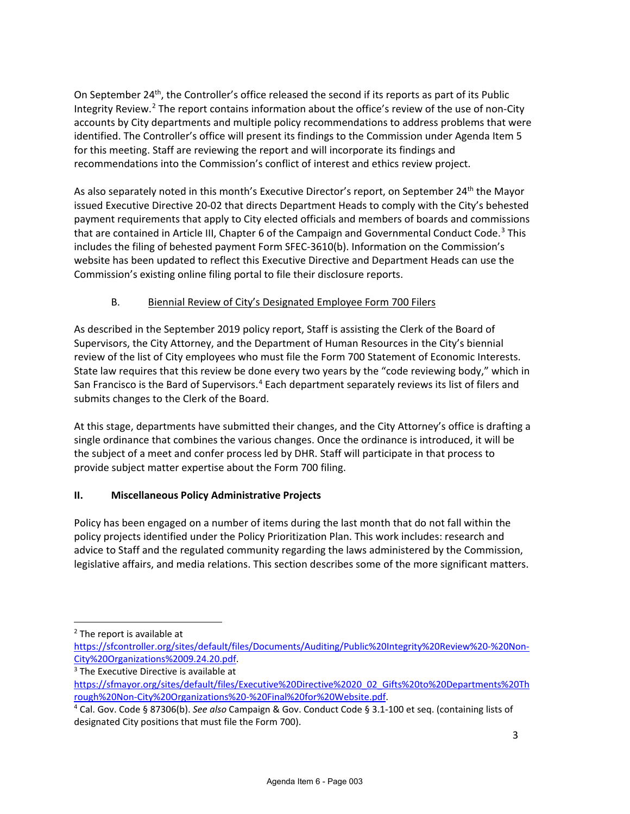On September 24th, the Controller's office released the second if its reports as part of its Public Integrity Review.<sup>[2](#page-2-0)</sup> The report contains information about the office's review of the use of non-City accounts by City departments and multiple policy recommendations to address problems that were identified. The Controller's office will present its findings to the Commission under Agenda Item 5 for this meeting. Staff are reviewing the report and will incorporate its findings and recommendations into the Commission's conflict of interest and ethics review project.

As also separately noted in this month's Executive Director's report, on September 24<sup>th</sup> the Mayor issue[d Executive Directive](https://sfmayor.org/sites/default/files/Executive%20Directive%2020_02_Gifts%20to%20Departments%20Through%20Non-City%20Organizations.pdf) 20-02 that directs Department Heads to comply with the City's behested payment requirements that apply to City elected officials and members of boards and commissions that are contained in Article III, Chapter 6 of the Campaign and Governmental Conduct Code.<sup>[3](#page-2-1)</sup> This includes the filing of behested payment Form SFEC-3610(b). Information on the Commission's website has been updated to reflect this Executive Directive and Department Heads can use the Commission's existing online filing portal to file their disclosure reports.

# B. Biennial Review of City's Designated Employee Form 700 Filers

As described in the September 2019 policy report, Staff is assisting the Clerk of the Board of Supervisors, the City Attorney, and the Department of Human Resources in the City's biennial review of the list of City employees who must file the Form 700 Statement of Economic Interests. State law requires that this review be done every two years by the "code reviewing body," which in San Francisco is the Bard of Supervisors.<sup>[4](#page-2-2)</sup> Each department separately reviews its list of filers and submits changes to the Clerk of the Board.

At this stage, departments have submitted their changes, and the City Attorney's office is drafting a single ordinance that combines the various changes. Once the ordinance is introduced, it will be the subject of a meet and confer process led by DHR. Staff will participate in that process to provide subject matter expertise about the Form 700 filing.

## **II. Miscellaneous Policy Administrative Projects**

Policy has been engaged on a number of items during the last month that do not fall within the policy projects identified under the Policy Prioritization Plan. This work includes: research and advice to Staff and the regulated community regarding the laws administered by the Commission, legislative affairs, and media relations. This section describes some of the more significant matters.

<span id="page-2-0"></span><sup>2</sup> The report is available at

[https://sfcontroller.org/sites/default/files/Documents/Auditing/Public%20Integrity%20Review%20-%20Non-](https://sfcontroller.org/sites/default/files/Documents/Auditing/Public%20Integrity%20Review%20-%20Non-City%20Organizations%2009.24.20.pdf)

<span id="page-2-1"></span>[City%20Organizations%2009.24.20.pdf.](https://sfcontroller.org/sites/default/files/Documents/Auditing/Public%20Integrity%20Review%20-%20Non-City%20Organizations%2009.24.20.pdf) 3 The Executive Directive is available at

[https://sfmayor.org/sites/default/files/Executive%20Directive%2020\\_02\\_Gifts%20to%20Departments%20Th](https://sfmayor.org/sites/default/files/Executive%20Directive%2020_02_Gifts%20to%20Departments%20Through%20Non-City%20Organizations%20-%20Final%20for%20Website.pdf) [rough%20Non-City%20Organizations%20-%20Final%20for%20Website.pdf.](https://sfmayor.org/sites/default/files/Executive%20Directive%2020_02_Gifts%20to%20Departments%20Through%20Non-City%20Organizations%20-%20Final%20for%20Website.pdf) 4 Cal. Gov. Code § 87306(b). *See also* Campaign & Gov. Conduct Code § 3.1-100 et seq. (containing lists of

<span id="page-2-2"></span>designated City positions that must file the Form 700).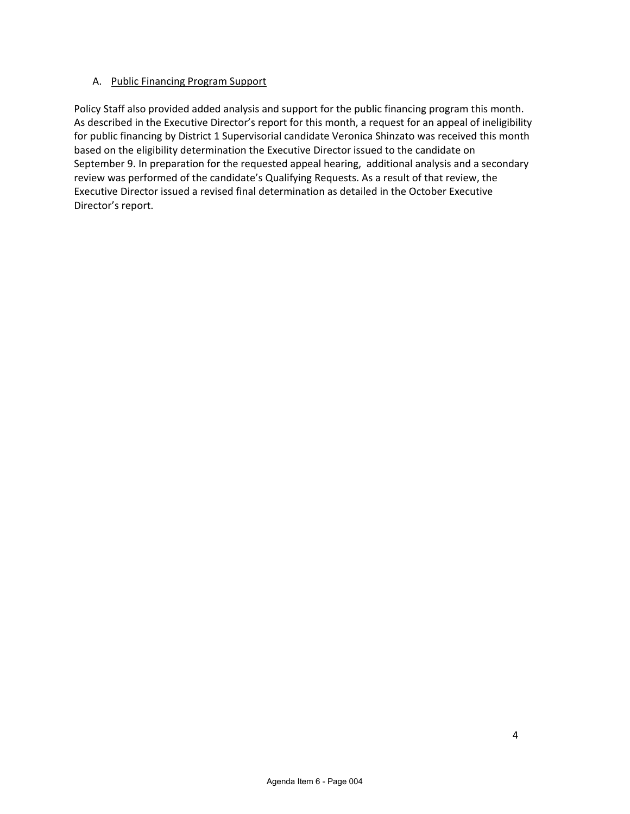#### A. Public Financing Program Support

Policy Staff also provided added analysis and support for the public financing program this month. As described in the Executive Director's report for this month, a request for an appeal of ineligibility for public financing by District 1 Supervisorial candidate Veronica Shinzato was received this month based on the eligibility determination the Executive Director issued to the candidate on September 9. In preparation for the requested appeal hearing, additional analysis and a secondary review was performed of the candidate's Qualifying Requests. As a result of that review, the Executive Director issued a revised final determination as detailed in the October Executive Director's report.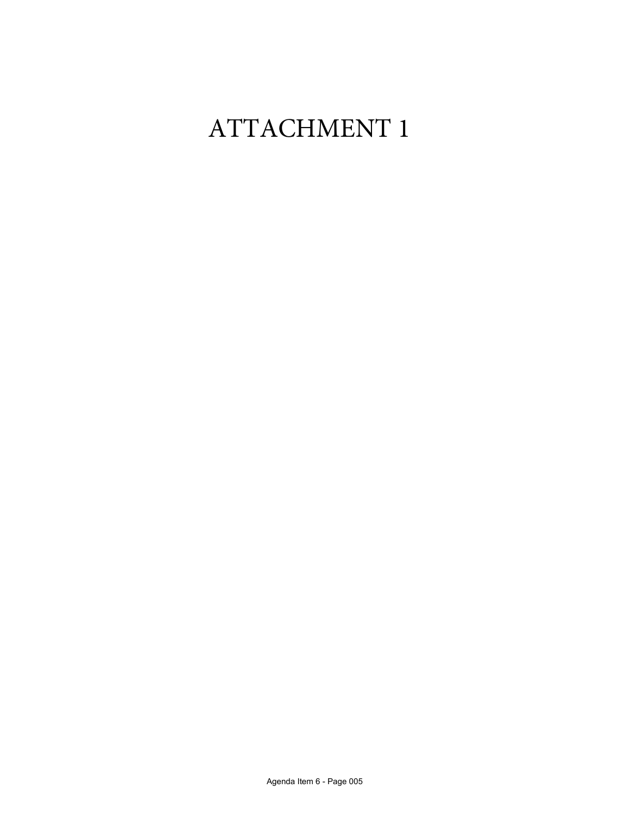# ATTACHMENT 1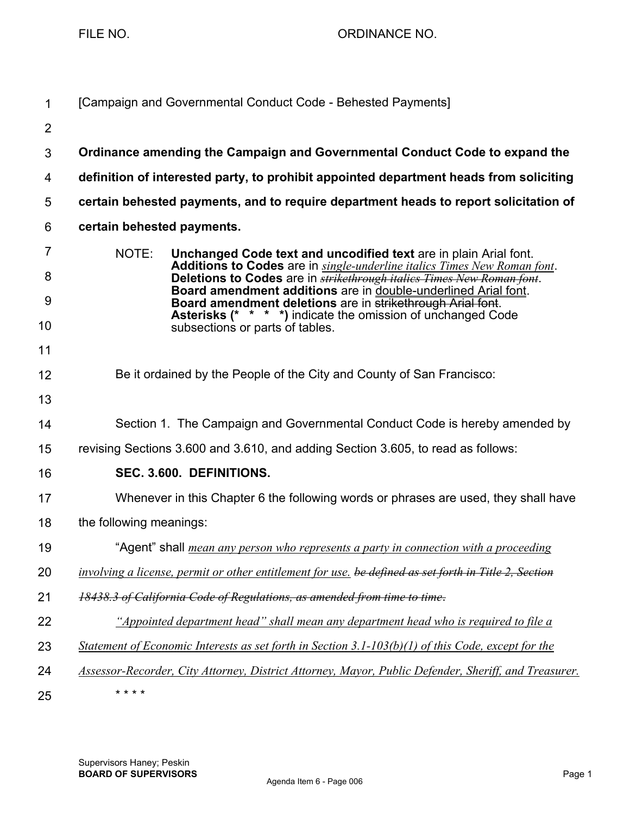FILE NO. 69 CONDINANCE NO.

| $\mathbf{1}$        | [Campaign and Governmental Conduct Code - Behested Payments]                                                                                                                                                                           |
|---------------------|----------------------------------------------------------------------------------------------------------------------------------------------------------------------------------------------------------------------------------------|
| $\overline{2}$      |                                                                                                                                                                                                                                        |
| $\mathfrak{S}$      | Ordinance amending the Campaign and Governmental Conduct Code to expand the                                                                                                                                                            |
| 4                   | definition of interested party, to prohibit appointed department heads from soliciting                                                                                                                                                 |
| 5                   | certain behested payments, and to require department heads to report solicitation of                                                                                                                                                   |
| 6                   | certain behested payments.                                                                                                                                                                                                             |
| $\overline{7}$<br>8 | NOTE:<br>Unchanged Code text and uncodified text are in plain Arial font.<br>Additions to Codes are in single-underline italics Times New Roman font.<br>Deletions to Codes are in <b>strikethrough italics Times New Roman font</b> . |
| 9                   | Board amendment additions are in double-underlined Arial font.<br>Board amendment deletions are in strikethrough Arial font.<br><b>Asterisks (* * * *)</b> indicate the omission of unchanged Code                                     |
| 10                  | subsections or parts of tables.                                                                                                                                                                                                        |
| 11                  |                                                                                                                                                                                                                                        |
| 12                  | Be it ordained by the People of the City and County of San Francisco:                                                                                                                                                                  |
| 13                  |                                                                                                                                                                                                                                        |
| 14                  | Section 1. The Campaign and Governmental Conduct Code is hereby amended by                                                                                                                                                             |
| 15                  | revising Sections 3.600 and 3.610, and adding Section 3.605, to read as follows:                                                                                                                                                       |
| 16                  | SEC. 3.600. DEFINITIONS.                                                                                                                                                                                                               |
| 17                  | Whenever in this Chapter 6 the following words or phrases are used, they shall have                                                                                                                                                    |
| 18                  | the following meanings:                                                                                                                                                                                                                |
| 19                  | "Agent" shall <i>mean any person who represents a party in connection with a proceeding</i>                                                                                                                                            |
| 20                  | involving a license, permit or other entitlement for use. be defined as set forth in Title 2, Section                                                                                                                                  |
| 21                  | 18438.3 of California Code of Regulations, as amended from time to time.                                                                                                                                                               |
| 22                  | "Appointed department head" shall mean any department head who is required to file a                                                                                                                                                   |
| 23                  | Statement of Economic Interests as set forth in Section 3.1-103(b)(1) of this Code, except for the                                                                                                                                     |
| 24                  | Assessor-Recorder, City Attorney, District Attorney, Mayor, Public Defender, Sheriff, and Treasurer.                                                                                                                                   |
| 25                  | * * * *                                                                                                                                                                                                                                |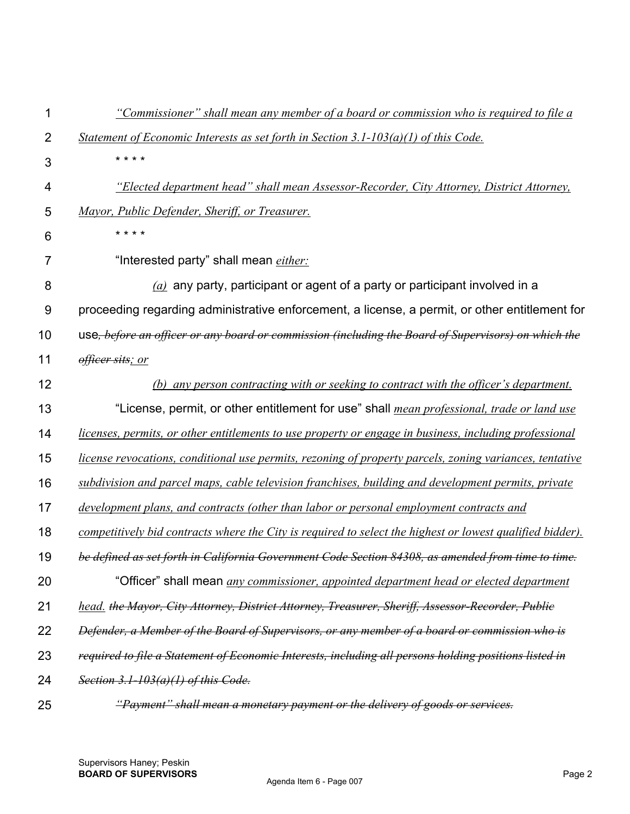| 1              | "Commissioner" shall mean any member of a board or commission who is required to file a                   |
|----------------|-----------------------------------------------------------------------------------------------------------|
| $\overline{2}$ | Statement of Economic Interests as set forth in Section 3.1-103(a)(1) of this Code.                       |
| 3              | * * * *                                                                                                   |
| 4              | "Elected department head" shall mean Assessor-Recorder, City Attorney, District Attorney,                 |
| 5              | Mayor, Public Defender, Sheriff, or Treasurer.                                                            |
| 6              | * * * *                                                                                                   |
| 7              | "Interested party" shall mean <i>either:</i>                                                              |
| 8              | $(a)$ any party, participant or agent of a party or participant involved in a                             |
| 9              | proceeding regarding administrative enforcement, a license, a permit, or other entitlement for            |
| 10             | use, before an officer or any board or commission (including the Board of Supervisors) on which the       |
| 11             | officer sits; or                                                                                          |
| 12             | (b) any person contracting with or seeking to contract with the officer's department.                     |
| 13             | "License, permit, or other entitlement for use" shall <i>mean professional, trade or land use</i>         |
| 14             | licenses, permits, or other entitlements to use property or engage in business, including professional    |
| 15             | license revocations, conditional use permits, rezoning of property parcels, zoning variances, tentative   |
| 16             | subdivision and parcel maps, cable television franchises, building and development permits, private       |
| 17             | development plans, and contracts (other than labor or personal employment contracts and                   |
| 18             | competitively bid contracts where the City is required to select the highest or lowest qualified bidder). |
| 19             | be defined as set forth in California Government Code Section 84308, as amended from time to time.        |
| 20             | "Officer" shall mean <i>any commissioner, appointed department head or elected department</i>             |
| 21             | head. the Mayor, City Attorney, District Attorney, Treasurer, Sheriff, Assessor-Recorder, Publie          |
| 22             | Defender, a Member of the Board of Supervisors, or any member of a board or commission who is             |
| 23             | required to file a Statement of Economic Interests, including all persons holding positions listed in     |
| 24             | Section 3.1-103(a)(1) of this Code.                                                                       |
| 25             | "Payment" shall mean a monetary payment or the delivery of goods or services.                             |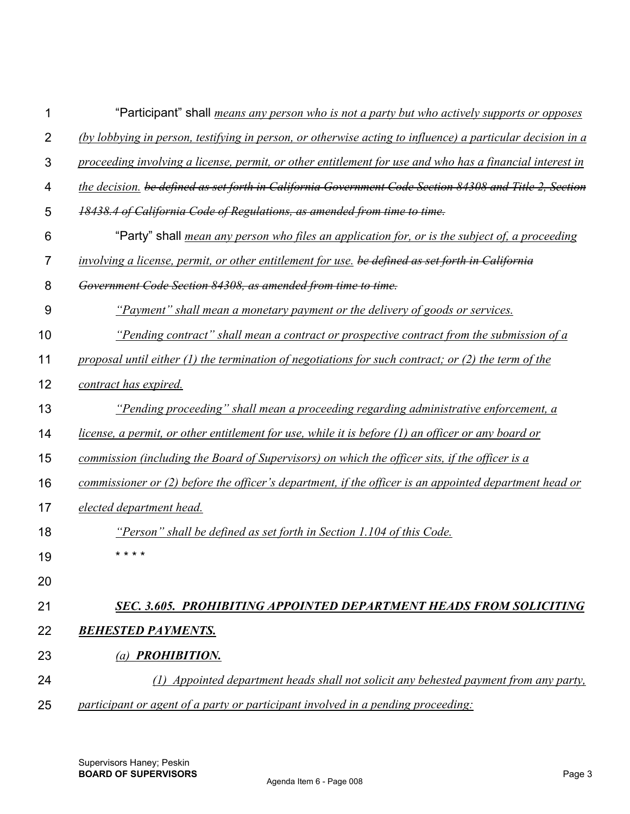| 1              | "Participant" shall <i>means any person who is not a party but who actively supports or opposes</i>        |
|----------------|------------------------------------------------------------------------------------------------------------|
| $\overline{2}$ | (by lobbying in person, testifying in person, or otherwise acting to influence) a particular decision in a |
| $\mathfrak{B}$ | proceeding involving a license, permit, or other entitlement for use and who has a financial interest in   |
| 4              | the decision, be defined as set forth in California Government Code Section 84308 and Title 2, Section     |
| 5              | 18438.4 of California Code of Regulations, as amended from time to time.                                   |
| 6              | "Party" shall <i>mean any person who files an application for, or is the subject of, a proceeding</i>      |
| $\overline{7}$ | involving a license, permit, or other entitlement for use. be defined as set forth in California           |
| 8              | Government Code Section 84308, as amended from time to time.                                               |
| 9              | <u>"Payment" shall mean a monetary payment or the delivery of goods or services.</u>                       |
| 10             | "Pending contract" shall mean a contract or prospective contract from the submission of a                  |
| 11             | proposal until either $(1)$ the termination of negotiations for such contract; or $(2)$ the term of the    |
| 12             | contract has expired.                                                                                      |
| 13             | "Pending proceeding" shall mean a proceeding regarding administrative enforcement, a                       |
| 14             | license, a permit, or other entitlement for use, while it is before (1) an officer or any board or         |
| 15             | commission (including the Board of Supervisors) on which the officer sits, if the officer is a             |
| 16             | commissioner or (2) before the officer's department, if the officer is an appointed department head or     |
| 17             | elected department head.                                                                                   |
| 18             | "Person" shall be defined as set forth in Section 1.104 of this Code.                                      |
| 19             | * * * *                                                                                                    |
| 20             |                                                                                                            |
| 21             | SEC. 3.605. PROHIBITING APPOINTED DEPARTMENT HEADS FROM SOLICITING                                         |
| 22             | <b>BEHESTED PAYMENTS.</b>                                                                                  |
| 23             | (a) <b>PROHIBITION.</b>                                                                                    |
| 24             | (1) Appointed department heads shall not solicit any behested payment from any party,                      |
| 25             | participant or agent of a party or participant involved in a pending proceeding:                           |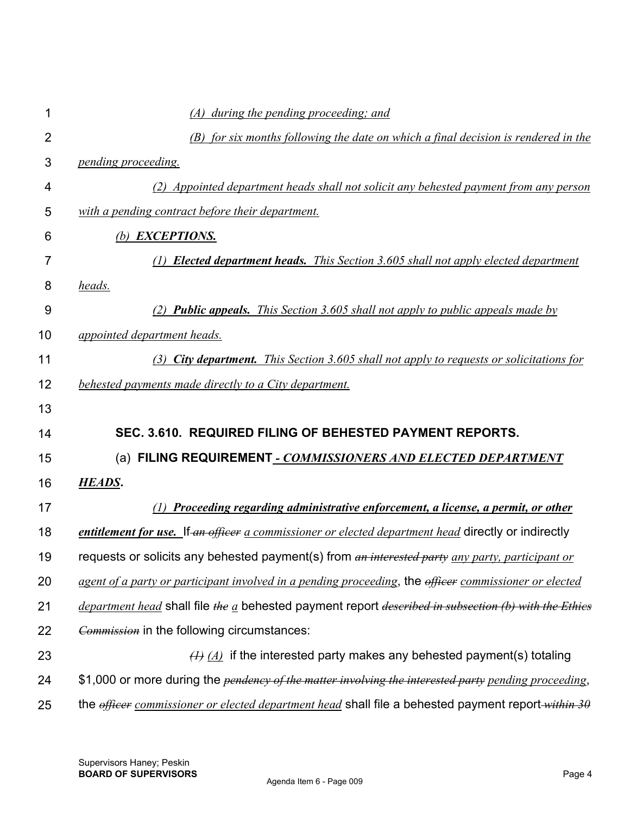| 1              | (A) during the pending proceeding; and                                                                       |
|----------------|--------------------------------------------------------------------------------------------------------------|
| $\overline{2}$ | (B) for six months following the date on which a final decision is rendered in the                           |
| 3              | pending proceeding.                                                                                          |
| 4              | (2) Appointed department heads shall not solicit any behested payment from any person                        |
| 5              | with a pending contract before their department.                                                             |
| 6              | (b) <b>EXCEPTIONS</b> .                                                                                      |
| $\overline{7}$ | <b>Elected department heads.</b> This Section 3.605 shall not apply elected department<br>(1)                |
| 8              | <u>heads.</u>                                                                                                |
| 9              | (2) <b>Public appeals.</b> This Section 3.605 shall not apply to public appeals made by                      |
| 10             | <i>appointed department heads.</i>                                                                           |
| 11             | (3) City department. This Section 3.605 shall not apply to requests or solicitations for                     |
| 12             | behested payments made directly to a City department.                                                        |
| 13             |                                                                                                              |
| 14             | SEC. 3.610. REQUIRED FILING OF BEHESTED PAYMENT REPORTS.                                                     |
| 15             | (a) FILING REQUIREMENT - COMMISSIONERS AND ELECTED DEPARTMENT                                                |
| 16             |                                                                                                              |
|                | <b>HEADS.</b>                                                                                                |
| 17             | (1) Proceeding regarding administrative enforcement, a license, a permit, or other                           |
| 18             | entitlement for use. If an officer a commissioner or elected department head directly or indirectly          |
| 19             | requests or solicits any behested payment(s) from an interested party any party, participant or              |
| 20             | agent of a party or participant involved in a pending proceeding, the officer commissioner or elected        |
| 21             | department head shall file the $a$ behested payment report described in subsection (b) with the Ethics       |
| 22             | <b>Commission</b> in the following circumstances:                                                            |
| 23             | $\overline{(A)}$ $\overline{(A)}$ if the interested party makes any behested payment(s) totaling             |
| 24             | \$1,000 or more during the <i>pendency of the matter involving the interested party pending proceeding</i> , |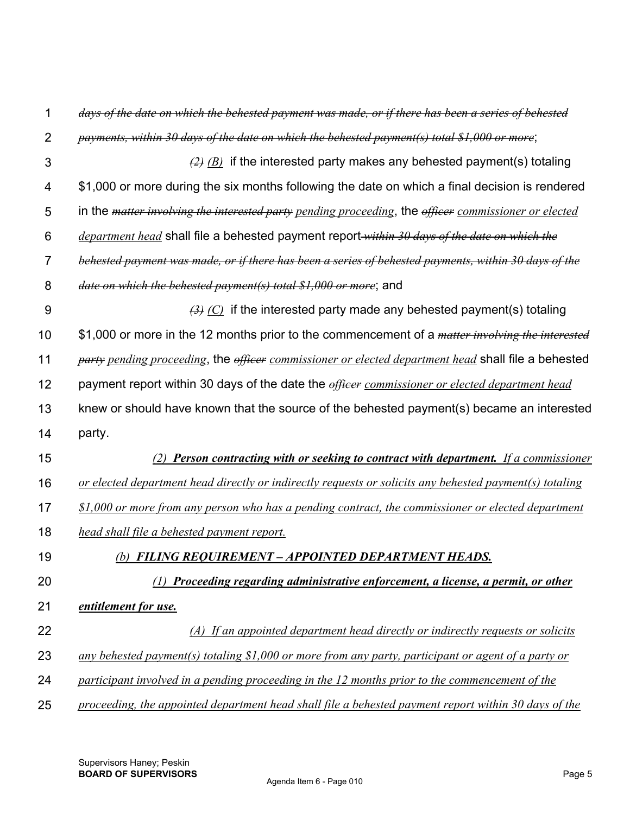| 1              | days of the date on which the behested payment was made, or if there has been a series of behested                  |
|----------------|---------------------------------------------------------------------------------------------------------------------|
| $\overline{2}$ | payments, within 30 days of the date on which the behested payment(s) total \$1,000 or more;                        |
| 3              | $\frac{1}{2}$ (B) if the interested party makes any behested payment(s) totaling                                    |
| 4              | \$1,000 or more during the six months following the date on which a final decision is rendered                      |
| 5              | in the <i>matter involving the interested party pending proceeding</i> , the <i>officer commissioner or elected</i> |
| 6              | <i>department head</i> shall file a behested payment report within 30 days of the date on which the                 |
| $\overline{7}$ | behested payment was made, or if there has been a series of behested payments, within 30 days of the                |
| 8              | date on which the behested payment(s) total \$1,000 or more; and                                                    |
| 9              | $\overline{B}(A)$ (C) if the interested party made any behested payment(s) totaling                                 |
| 10             | \$1,000 or more in the 12 months prior to the commencement of a <i>matter involving the interested</i>              |
| 11             | party pending proceeding, the officer commissioner or elected department head shall file a behested                 |
| 12             | payment report within 30 days of the date the <i>efficer commissioner or elected department head</i>                |
| 13             | knew or should have known that the source of the behested payment(s) became an interested                           |
| 14             | party.                                                                                                              |
| 15             | (2) Person contracting with or seeking to contract with department. If a commissioner                               |
| 16             | or elected department head directly or indirectly requests or solicits any behested payment(s) totaling             |
| 17             | $$1,000$ or more from any person who has a pending contract, the commissioner or elected department                 |
| 18             | head shall file a behested payment report.                                                                          |
| 19             | (b) FILING REQUIREMENT - APPOINTED DEPARTMENT HEADS.                                                                |
| 20             | Proceeding regarding administrative enforcement, a license, a permit, or other                                      |
| 21             | entitlement for use.                                                                                                |
| 22             | (A) If an appointed department head directly or indirectly requests or solicits                                     |
| 23             | any behested payment(s) totaling \$1,000 or more from any party, participant or agent of a party or                 |
| 24             | participant involved in a pending proceeding in the 12 months prior to the commencement of the                      |
| 25             | proceeding, the appointed department head shall file a behested payment report within 30 days of the                |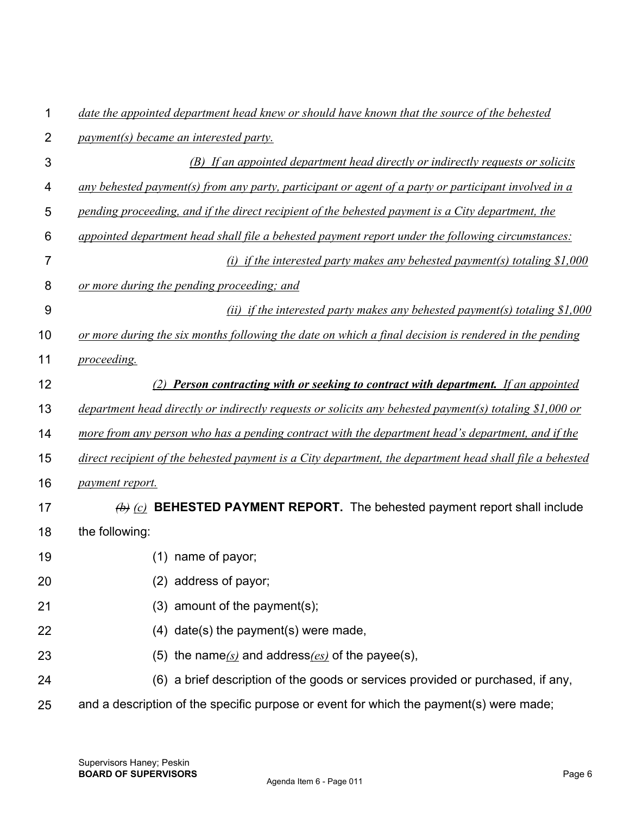| 1  | date the appointed department head knew or should have known that the source of the behested             |
|----|----------------------------------------------------------------------------------------------------------|
| 2  | <i>payment(s) became an interested party.</i>                                                            |
| 3  | (B) If an appointed department head directly or indirectly requests or solicits                          |
| 4  | any behested payment(s) from any party, participant or agent of a party or participant involved in a     |
| 5  | pending proceeding, and if the direct recipient of the behested payment is a City department, the        |
| 6  | appointed department head shall file a behested payment report under the following circumstances:        |
| 7  | (i) if the interested party makes any behested payment(s) totaling $$1,000$                              |
| 8  | or more during the pending proceeding; and                                                               |
| 9  | (ii) if the interested party makes any behested payment(s) totaling $$1,000$                             |
| 10 | or more during the six months following the date on which a final decision is rendered in the pending    |
| 11 | proceeding.                                                                                              |
| 12 | (2) Person contracting with or seeking to contract with department. If an appointed                      |
| 13 | department head directly or indirectly requests or solicits any behested payment(s) totaling \$1,000 or  |
| 14 | more from any person who has a pending contract with the department head's department, and if the        |
| 15 | direct recipient of the behested payment is a City department, the department head shall file a behested |
| 16 | payment report.                                                                                          |
| 17 | $\overline{b}$ (c) <b>BEHESTED PAYMENT REPORT</b> . The behested payment report shall include            |
| 18 | the following:                                                                                           |
| 19 | (1) name of payor;                                                                                       |
| 20 | (2) address of payor;                                                                                    |
| 21 | (3) amount of the payment(s);                                                                            |
| 22 | $(4)$ date(s) the payment(s) were made,                                                                  |
| 23 | (5) the name $(s)$ and address $(es)$ of the payee(s),                                                   |
| 24 | (6) a brief description of the goods or services provided or purchased, if any,                          |
| 25 | and a description of the specific purpose or event for which the payment(s) were made;                   |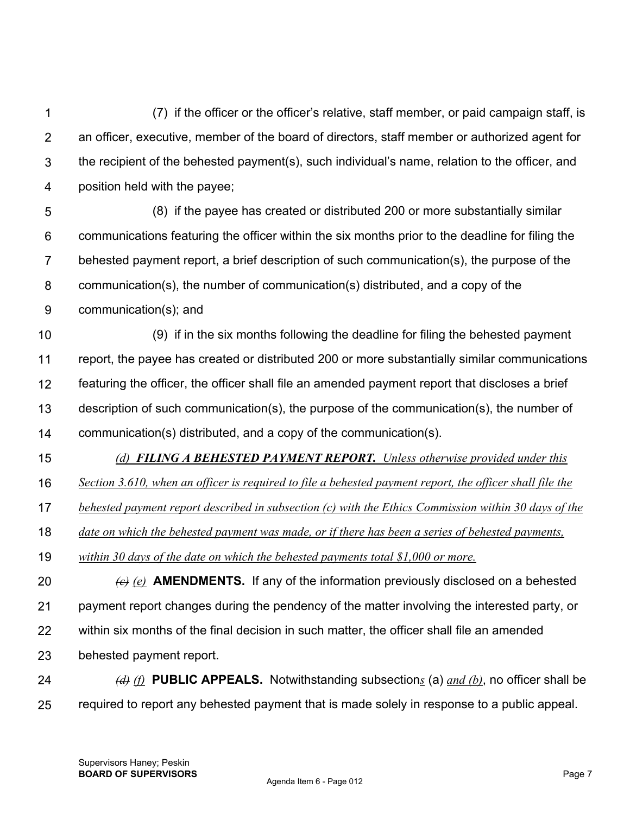1 2 3 4 (7) if the officer or the officer's relative, staff member, or paid campaign staff, is an officer, executive, member of the board of directors, staff member or authorized agent for the recipient of the behested payment(s), such individual's name, relation to the officer, and position held with the payee;

5 6 7 8 9 (8) if the payee has created or distributed 200 or more substantially similar communications featuring the officer within the six months prior to the deadline for filing the behested payment report, a brief description of such communication(s), the purpose of the communication(s), the number of communication(s) distributed, and a copy of the communication(s); and

10 11 12 13 14 (9) if in the six months following the deadline for filing the behested payment report, the payee has created or distributed 200 or more substantially similar communications featuring the officer, the officer shall file an amended payment report that discloses a brief description of such communication(s), the purpose of the communication(s), the number of communication(s) distributed, and a copy of the communication(s).

15

*(d) FILING A BEHESTED PAYMENT REPORT. Unless otherwise provided under this* 

16 *Section 3.610, when an officer is required to file a behested payment report, the officer shall file the* 

17 *behested payment report described in subsection (c) with the Ethics Commission within 30 days of the* 

18 *date on which the behested payment was made, or if there has been a series of behested payments,* 

19 *within 30 days of the date on which the behested payments total \$1,000 or more.* 

20 21 22 23 *(c) (e)* **AMENDMENTS.** If any of the information previously disclosed on a behested payment report changes during the pendency of the matter involving the interested party, or within six months of the final decision in such matter, the officer shall file an amended behested payment report.

24 25 *(d) (f)* **PUBLIC APPEALS.** Notwithstanding subsection*s* (a) *and (b)*, no officer shall be required to report any behested payment that is made solely in response to a public appeal.